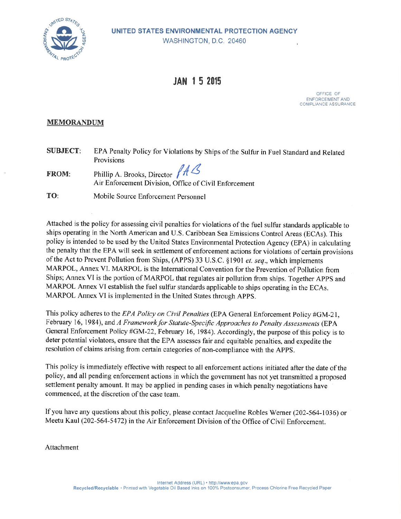

# **JAN 15 2015**

OFFICE OF ENFORCEMENT AND COMPLIANCE ASSURANCE

#### **MEMORANDUM**

| <b>SUBJECT:</b> | EPA Penalty Policy for Violations by Ships of the Sulfur in Fuel Standard and Related                |
|-----------------|------------------------------------------------------------------------------------------------------|
|                 | Provisions                                                                                           |
| <b>FROM:</b>    | Phillip A. Brooks, Director $/4\mathcal{L}$<br>Air Enforcement Division, Office of Civil Enforcement |

TO: Mobile Source Enforcement Personnel

Attached is the policy for assessing civil penalties for violations of the fuel sulfur standards applicable to ships operating in the North American and U.S. Caribbean Sea Emissions Control Areas (ECAs). This policy is intended to be used by the United States Environmental Protection Agency (EPA) in calculating the penalty that the EPA will seek in settlement of enforcement actions for violations of certain provisions of the Act to Prevent Pollution from Ships, (APPS) 33 U.S.C. §1901 *et. seq.*, which implements MARPOL, Annex VI. MARPOL is the International Convention for the Prevention of Pollution from Ships; Annex VI is the portion of MARPOL that regulates air pollution from ships. Together APPS and MARPOL Annex VI establish the fuel sulfur standards applicable to ships operating in the ECAs. MARPOL Annex VI is implemented in the United States through APPS.

This policy adheres to the EPA Policy on Civil Penalties (EPA General Enforcement Policy #GM-21, February 16, 1984), and A Framework for Statute-Specific Approaches to Penalty Assessments (EPA General Enforcement Policy #GM-22, February 16, 1984). Accordingly, the purpose of this policy is to deter potential violators, ensure that the EPA assesses fair and equitable penalties, and expedite the resolution of claims arising from certain categories of non-compliance with the APPS.

This policy is immediately effective with respect to all enforcement actions initiated after the date of the policy, and all pending enforcement actions in which the government has not yet transmitted a proposed settlement penalty amount. It may be applied in pending cases in which penalty negotiations have commenced, at the discretion of the case team.

If you have any questions about this policy, please contact Jacqueline Robles Werner (202-564-1036) or Meetu Kaul (202-564-5472) in the Air Enforcement Division of the Office of Civil Enforcement.

Attachment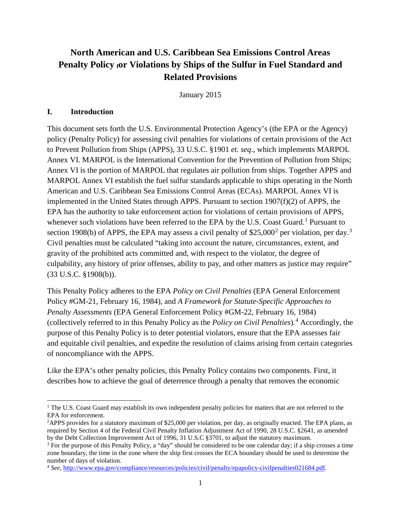# **North American and U.S. Caribbean Sea Emissions Control Areas Penalty Policy for Violations by Ships of the Sulfur in Fuel Standard and Related Provisions**

January 2015

#### **I. Introduction**

 $\overline{a}$ 

This document sets forth the U.S. Environmental Protection Agency's (the EPA or the Agency) policy (Penalty Policy) for assessing civil penalties for violations of certain provisions of the Act to Prevent Pollution from Ships (APPS), 33 U.S.C. §1901 *et. seq*., which implements MARPOL Annex VI. MARPOL is the International Convention for the Prevention of Pollution from Ships; Annex VI is the portion of MARPOL that regulates air pollution from ships. Together APPS and MARPOL Annex VI establish the fuel sulfur standards applicable to ships operating in the North American and U.S. Caribbean Sea Emissions Control Areas (ECAs). MARPOL Annex VI is implemented in the United States through APPS. Pursuant to section 1907(f)(2) of APPS, the EPA has the authority to take enforcement action for violations of certain provisions of APPS, whenever such violations have been referred to the EPA by the U.S. Coast Guard.<sup>[1](#page-1-0)</sup> Pursuant to section 1908(b) of APPS, the EPA may assess a civil penalty of  $$25,000^2$  $$25,000^2$  $$25,000^2$  per violation, per day.<sup>[3](#page-1-2)</sup> Civil penalties must be calculated "taking into account the nature, circumstances, extent, and gravity of the prohibited acts committed and, with respect to the violator, the degree of culpability, any history of prior offenses, ability to pay, and other matters as justice may require" (33 U.S.C. §1908(b)).

This Penalty Policy adheres to the EPA *Policy on Civil Penalties* (EPA General Enforcement Policy #GM-21, February 16, 1984), and *A Framework for Statute-Specific Approaches to Penalty Assessments* (EPA General Enforcement Policy #GM-22, February 16, 1984) (collectively referred to in this Penalty Policy as the *Policy on Civil Penalties*)*.* [4](#page-1-3) Accordingly, the purpose of this Penalty Policy is to deter potential violators, ensure that the EPA assesses fair and equitable civil penalties, and expedite the resolution of claims arising from certain categories of noncompliance with the APPS.

Like the EPA's other penalty policies, this Penalty Policy contains two components. First, it describes how to achieve the goal of deterrence through a penalty that removes the economic

<span id="page-1-0"></span><sup>&</sup>lt;sup>1</sup> The U.S. Coast Guard may establish its own independent penalty policies for matters that are not referred to the EPA for enforcement.

<span id="page-1-1"></span><sup>&</sup>lt;sup>2</sup>APPS provides for a statutory maximum of \$25,000 per violation, per day, as originally enacted. The EPA plans, as required by Section 4 of the Federal Civil Penalty Inflation Adjustment Act of 1990, 28 U.S.C. §2641, as amended by the Debt Collection Improvement Act of 1996, 31 U.S.C §3701, to adjust the statutory maximum.

<span id="page-1-2"></span><sup>3</sup> For the purpose of this Penalty Policy, a "day" should be considered to be one calendar day; if a ship crosses a time zone boundary, the time in the zone where the ship first crosses the ECA boundary should be used to determine the number of days of violation.

<span id="page-1-3"></span><sup>4</sup> *See*[, http://www.epa.gov/compliance/resources/policies/civil/penalty/epapolicy-civilpenalties021684.pdf.](http://www.epa.gov/compliance/resources/policies/civil/penalty/epapolicy-civilpenalties021684.pdf)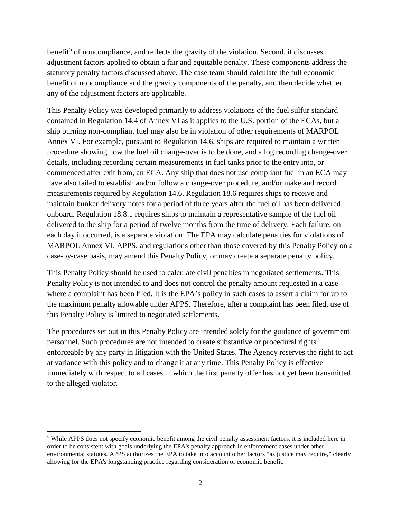benefit<sup>[5](#page-2-0)</sup> of noncompliance, and reflects the gravity of the violation. Second, it discusses adjustment factors applied to obtain a fair and equitable penalty. These components address the statutory penalty factors discussed above. The case team should calculate the full economic benefit of noncompliance and the gravity components of the penalty, and then decide whether any of the adjustment factors are applicable.

This Penalty Policy was developed primarily to address violations of the fuel sulfur standard contained in Regulation 14.4 of Annex VI as it applies to the U.S. portion of the ECAs, but a ship burning non-compliant fuel may also be in violation of other requirements of MARPOL Annex VI. For example, pursuant to Regulation 14.6, ships are required to maintain a written procedure showing how the fuel oil change-over is to be done, and a log recording change-over details, including recording certain measurements in fuel tanks prior to the entry into, or commenced after exit from, an ECA. Any ship that does not use compliant fuel in an ECA may have also failed to establish and/or follow a change-over procedure, and/or make and record measurements required by Regulation 14.6. Regulation 18.6 requires ships to receive and maintain bunker delivery notes for a period of three years after the fuel oil has been delivered onboard. Regulation 18.8.1 requires ships to maintain a representative sample of the fuel oil delivered to the ship for a period of twelve months from the time of delivery. Each failure, on each day it occurred, is a separate violation. The EPA may calculate penalties for violations of MARPOL Annex VI, APPS, and regulations other than those covered by this Penalty Policy on a case-by-case basis, may amend this Penalty Policy, or may create a separate penalty policy.

This Penalty Policy should be used to calculate civil penalties in negotiated settlements. This Penalty Policy is not intended to and does not control the penalty amount requested in a case where a complaint has been filed. It is the EPA's policy in such cases to assert a claim for up to the maximum penalty allowable under APPS. Therefore, after a complaint has been filed, use of this Penalty Policy is limited to negotiated settlements.

The procedures set out in this Penalty Policy are intended solely for the guidance of government personnel. Such procedures are not intended to create substantive or procedural rights enforceable by any party in litigation with the United States. The Agency reserves the right to act at variance with this policy and to change it at any time. This Penalty Policy is effective immediately with respect to all cases in which the first penalty offer has not yet been transmitted to the alleged violator.

<span id="page-2-0"></span><sup>&</sup>lt;sup>5</sup> While APPS does not specify economic benefit among the civil penalty assessment factors, it is included here in order to be consistent with goals underlying the EPA's penalty approach in enforcement cases under other environmental statutes. APPS authorizes the EPA to take into account other factors "as justice may require," clearly allowing for the EPA's longstanding practice regarding consideration of economic benefit.  $\overline{a}$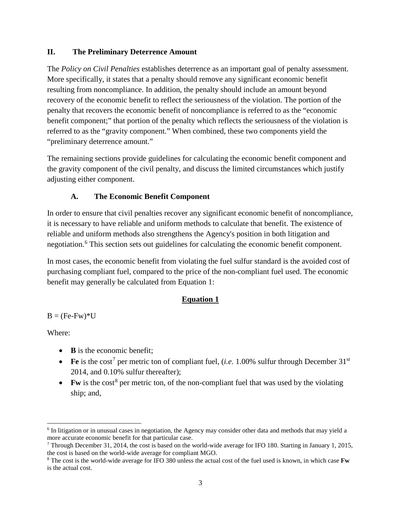#### **II. The Preliminary Deterrence Amount**

The *Policy on Civil Penalties* establishes deterrence as an important goal of penalty assessment. More specifically, it states that a penalty should remove any significant economic benefit resulting from noncompliance. In addition, the penalty should include an amount beyond recovery of the economic benefit to reflect the seriousness of the violation. The portion of the penalty that recovers the economic benefit of noncompliance is referred to as the "economic benefit component;" that portion of the penalty which reflects the seriousness of the violation is referred to as the "gravity component." When combined, these two components yield the "preliminary deterrence amount."

The remaining sections provide guidelines for calculating the economic benefit component and the gravity component of the civil penalty, and discuss the limited circumstances which justify adjusting either component.

### **A. The Economic Benefit Component**

In order to ensure that civil penalties recover any significant economic benefit of noncompliance, it is necessary to have reliable and uniform methods to calculate that benefit. The existence of reliable and uniform methods also strengthens the Agency's position in both litigation and negotiation. [6](#page-3-0) This section sets out guidelines for calculating the economic benefit component.

In most cases, the economic benefit from violating the fuel sulfur standard is the avoided cost of purchasing compliant fuel, compared to the price of the non-compliant fuel used. The economic benefit may generally be calculated from Equation 1:

#### **Equation 1**

 $B = (Fe-Fw)*U$ 

Where:

- **B** is the economic benefit:
- Fe is the cost<sup>[7](#page-3-1)</sup> per metric ton of compliant fuel, (*i.e.* 1.00% sulfur through December  $31<sup>st</sup>$ 2014, and 0.10% sulfur thereafter);
- **Fw** is the cost<sup>[8](#page-3-2)</sup> per metric ton, of the non-compliant fuel that was used by the violating ship; and,

<span id="page-3-0"></span><sup>6</sup> In litigation or in unusual cases in negotiation, the Agency may consider other data and methods that may yield a more accurate economic benefit for that particular case.  $\overline{a}$ 

<span id="page-3-1"></span><sup>7</sup> Through December 31, 2014, the cost is based on the world-wide average for IFO 180. Starting in January 1, 2015, the cost is based on the world-wide average for compliant MGO.

<span id="page-3-2"></span><sup>8</sup> The cost is the world-wide average for IFO 380 unless the actual cost of the fuel used is known, in which case **Fw** is the actual cost.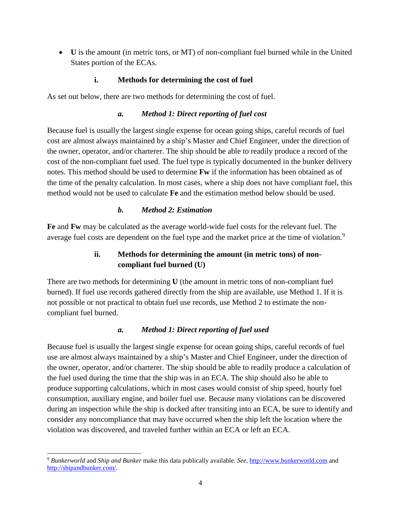• **U** is the amount (in metric tons, or MT) of non-compliant fuel burned while in the United States portion of the ECAs.

## **i. Methods for determining the cost of fuel**

As set out below, there are two methods for determining the cost of fuel.

#### *a. Method 1: Direct reporting of fuel cost*

Because fuel is usually the largest single expense for ocean going ships, careful records of fuel cost are almost always maintained by a ship's Master and Chief Engineer, under the direction of the owner, operator, and/or charterer. The ship should be able to readily produce a record of the cost of the non-compliant fuel used. The fuel type is typically documented in the bunker delivery notes. This method should be used to determine **Fw** if the information has been obtained as of the time of the penalty calculation. In most cases, where a ship does not have compliant fuel, this method would not be used to calculate **Fe** and the estimation method below should be used.

### *b. Method 2: Estimation*

**Fe** and **Fw** may be calculated as the average world-wide fuel costs for the relevant fuel. The average fuel costs are dependent on the fuel type and the market price at the time of violation.<sup>[9](#page-4-0)</sup>

## **ii. Methods for determining the amount (in metric tons) of noncompliant fuel burned (U)**

There are two methods for determining **U** (the amount in metric tons of non-compliant fuel burned). If fuel use records gathered directly from the ship are available, use Method 1. If it is not possible or not practical to obtain fuel use records, use Method 2 to estimate the noncompliant fuel burned.

## *a. Method 1: Direct reporting of fuel used*

Because fuel is usually the largest single expense for ocean going ships, careful records of fuel use are almost always maintained by a ship's Master and Chief Engineer, under the direction of the owner, operator, and/or charterer. The ship should be able to readily produce a calculation of the fuel used during the time that the ship was in an ECA. The ship should also be able to produce supporting calculations, which in most cases would consist of ship speed, hourly fuel consumption, auxiliary engine, and boiler fuel use. Because many violations can be discovered during an inspection while the ship is docked after transiting into an ECA, be sure to identify and consider any noncompliance that may have occurred when the ship left the location where the violation was discovered, and traveled further within an ECA or left an ECA.

<span id="page-4-0"></span><sup>9</sup> *Bunkerworld* and *Ship and Bunker* make this data publically available. *See*, [http://www.bunkerworld.com](http://www.bunkerworld.com/) and [http://shipandbunker.com/.](http://shipandbunker.com/)   $\overline{a}$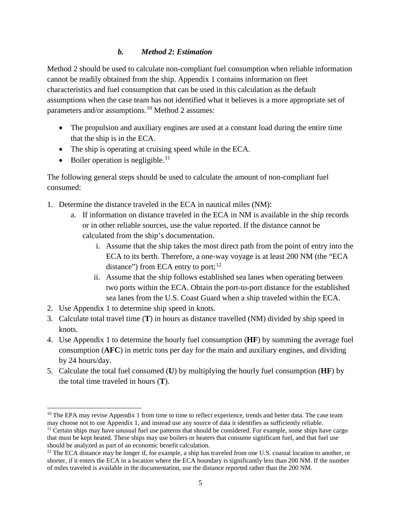#### *b. Method 2: Estimation*

Method 2 should be used to calculate non-compliant fuel consumption when reliable information cannot be readily obtained from the ship. Appendix 1 contains information on fleet characteristics and fuel consumption that can be used in this calculation as the default assumptions when the case team has not identified what it believes is a more appropriate set of parameters and/or assumptions.<sup>[10](#page-5-0)</sup> Method 2 assumes:

- The propulsion and auxiliary engines are used at a constant load during the entire time that the ship is in the ECA.
- The ship is operating at cruising speed while in the ECA.
- $\bullet$  Boiler operation is negligible.<sup>[11](#page-5-1)</sup>

The following general steps should be used to calculate the amount of non-compliant fuel consumed:

- 1. Determine the distance traveled in the ECA in nautical miles (NM):
	- a. If information on distance traveled in the ECA in NM is available in the ship records or in other reliable sources, use the value reported. If the distance cannot be calculated from the ship's documentation.
		- i. Assume that the ship takes the most direct path from the point of entry into the ECA to its berth. Therefore, a one-way voyage is at least 200 NM (the "ECA distance") from ECA entry to port;  $^{12}$  $^{12}$  $^{12}$
		- ii. Assume that the ship follows established sea lanes when operating between two ports within the ECA. Obtain the port-to-port distance for the established sea lanes from the U.S. Coast Guard when a ship traveled within the ECA.
- 2. Use Appendix 1 to determine ship speed in knots.
- 3. Calculate total travel time (**T**) in hours as distance travelled (NM) divided by ship speed in knots.
- 4. Use Appendix 1 to determine the hourly fuel consumption (**HF**) by summing the average fuel consumption (**AFC**) in metric tons per day for the main and auxiliary engines, and dividing by 24 hours/day.
- 5. Calculate the total fuel consumed (**U**) by multiplying the hourly fuel consumption (**HF**) by the total time traveled in hours (**T**).

<span id="page-5-0"></span> $10$  The EPA may revise Appendix 1 from time to time to reflect experience, trends and better data. The case team may choose not to use Appendix 1, and instead use any source of data it identifies as sufficiently reliable.  $\overline{a}$ 

<span id="page-5-1"></span> $<sup>11</sup>$  Certain ships may have unusual fuel use patterns that should be considered. For example, some ships have cargo</sup> that must be kept heated. These ships may use boilers or heaters that consume significant fuel, and that fuel use should be analyzed as part of an economic benefit calculation.

<span id="page-5-2"></span><sup>&</sup>lt;sup>12</sup> The ECA distance may be longer if, for example, a ship has traveled from one U.S. coastal location to another, or shorter, if it enters the ECA in a location where the ECA boundary is significantly less than 200 NM. If the number of miles traveled is available in the documentation, use the distance reported rather than the 200 NM.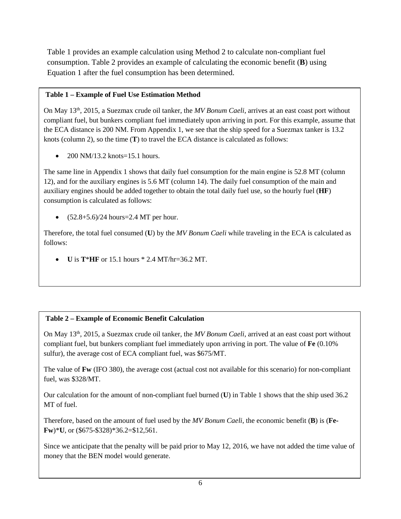Table 1 provides an example calculation using Method 2 to calculate non-compliant fuel consumption. Table 2 provides an example of calculating the economic benefit (**B**) using Equation 1 after the fuel consumption has been determined.

#### **Table 1 – Example of Fuel Use Estimation Method**

On May 13th, 2015, a Suezmax crude oil tanker, the *MV Bonum Caeli*, arrives at an east coast port without compliant fuel, but bunkers compliant fuel immediately upon arriving in port. For this example, assume that the ECA distance is 200 NM. From Appendix 1, we see that the ship speed for a Suezmax tanker is 13.2 knots (column 2), so the time (**T**) to travel the ECA distance is calculated as follows:

• 200 NM/13.2 knots=15.1 hours.

The same line in Appendix 1 shows that daily fuel consumption for the main engine is 52.8 MT (column 12), and for the auxiliary engines is 5.6 MT (column 14). The daily fuel consumption of the main and auxiliary engines should be added together to obtain the total daily fuel use, so the hourly fuel (**HF**) consumption is calculated as follows:

•  $(52.8+5.6)/24$  hours=2.4 MT per hour.

Therefore, the total fuel consumed (**U**) by the *MV Bonum Caeli* while traveling in the ECA is calculated as follows:

• **U** is **T**\***HF** or 15.1 hours \* 2.4 MT/hr=36.2 MT.

## **Table 2 – Example of Economic Benefit Calculation**

On May 13th, 2015, a Suezmax crude oil tanker, the *MV Bonum Caeli*, arrived at an east coast port without compliant fuel, but bunkers compliant fuel immediately upon arriving in port. The value of **Fe** (0.10% sulfur), the average cost of ECA compliant fuel, was \$675/MT.

The value of **Fw** (IFO 380), the average cost (actual cost not available for this scenario) for non-compliant fuel, was \$328/MT.

Our calculation for the amount of non-compliant fuel burned (**U**) in Table 1 shows that the ship used 36.2 MT of fuel.

Therefore, based on the amount of fuel used by the *MV Bonum Caeli*, the economic benefit (**B**) is (**Fe-Fw**)\***U**, or (\$675-\$328)\*36.2=\$12,561.

Since we anticipate that the penalty will be paid prior to May 12, 2016, we have not added the time value of money that the BEN model would generate.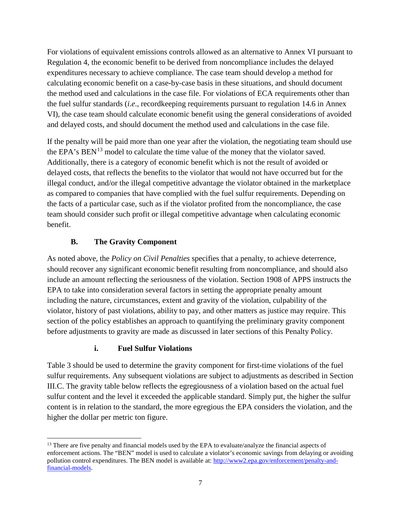For violations of equivalent emissions controls allowed as an alternative to Annex VI pursuant to Regulation 4, the economic benefit to be derived from noncompliance includes the delayed expenditures necessary to achieve compliance. The case team should develop a method for calculating economic benefit on a case-by-case basis in these situations, and should document the method used and calculations in the case file. For violations of ECA requirements other than the fuel sulfur standards (*i.e*., recordkeeping requirements pursuant to regulation 14.6 in Annex VI), the case team should calculate economic benefit using the general considerations of avoided and delayed costs, and should document the method used and calculations in the case file.

If the penalty will be paid more than one year after the violation, the negotiating team should use the EPA's  $BEN^{13}$  $BEN^{13}$  $BEN^{13}$  model to calculate the time value of the money that the violator saved. Additionally, there is a category of economic benefit which is not the result of avoided or delayed costs, that reflects the benefits to the violator that would not have occurred but for the illegal conduct, and/or the illegal competitive advantage the violator obtained in the marketplace as compared to companies that have complied with the fuel sulfur requirements. Depending on the facts of a particular case, such as if the violator profited from the noncompliance, the case team should consider such profit or illegal competitive advantage when calculating economic benefit.

## **B. The Gravity Component**

As noted above, the *Policy on Civil Penalties* specifies that a penalty, to achieve deterrence, should recover any significant economic benefit resulting from noncompliance, and should also include an amount reflecting the seriousness of the violation. Section 1908 of APPS instructs the EPA to take into consideration several factors in setting the appropriate penalty amount including the nature, circumstances, extent and gravity of the violation, culpability of the violator, history of past violations, ability to pay, and other matters as justice may require. This section of the policy establishes an approach to quantifying the preliminary gravity component before adjustments to gravity are made as discussed in later sections of this Penalty Policy.

## **i. Fuel Sulfur Violations**

Table 3 should be used to determine the gravity component for first-time violations of the fuel sulfur requirements. Any subsequent violations are subject to adjustments as described in Section III.C. The gravity table below reflects the egregiousness of a violation based on the actual fuel sulfur content and the level it exceeded the applicable standard. Simply put, the higher the sulfur content is in relation to the standard, the more egregious the EPA considers the violation, and the higher the dollar per metric ton figure.

<span id="page-7-0"></span><sup>&</sup>lt;sup>13</sup> There are five penalty and financial models used by the EPA to evaluate/analyze the financial aspects of enforcement actions. The "BEN" model is used to calculate a violator's economic savings from delaying or avoiding pollution control expenditures. The BEN model is available at: [http://www2.epa.gov/enforcement/penalty-and](http://www2.epa.gov/enforcement/penalty-and-financial-models)[financial-models.](http://www2.epa.gov/enforcement/penalty-and-financial-models)  $\overline{a}$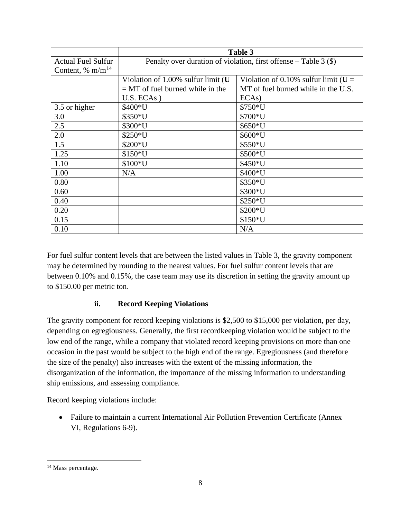|                           | Table 3                                                                       |                                     |  |  |  |  |  |  |
|---------------------------|-------------------------------------------------------------------------------|-------------------------------------|--|--|--|--|--|--|
| <b>Actual Fuel Sulfur</b> | Penalty over duration of violation, first offense – Table 3 $(\$)$            |                                     |  |  |  |  |  |  |
| Content, % $m/m^{14}$     |                                                                               |                                     |  |  |  |  |  |  |
|                           | Violation of 1.00% sulfur limit (U<br>Violation of 0.10% sulfur limit ( $U =$ |                                     |  |  |  |  |  |  |
|                           | $=$ MT of fuel burned while in the                                            | MT of fuel burned while in the U.S. |  |  |  |  |  |  |
|                           | $U.S. ECAS$ )                                                                 | ECAs)                               |  |  |  |  |  |  |
| 3.5 or higher             | $$400*U$                                                                      | $$750*U$                            |  |  |  |  |  |  |
| 3.0                       | \$350*U                                                                       | \$700*U                             |  |  |  |  |  |  |
| 2.5                       | \$300*U                                                                       | \$650*U                             |  |  |  |  |  |  |
| 2.0                       | $$250*U$                                                                      | $$600*U$                            |  |  |  |  |  |  |
| 1.5                       | $$200*U$                                                                      | $$550*U$                            |  |  |  |  |  |  |
| 1.25                      | $$150*U$                                                                      | \$500*U                             |  |  |  |  |  |  |
| 1.10                      | $$100*U$                                                                      | \$450*U                             |  |  |  |  |  |  |
| 1.00                      | N/A                                                                           | \$400*U                             |  |  |  |  |  |  |
| 0.80                      |                                                                               | $$350*U$                            |  |  |  |  |  |  |
| 0.60                      |                                                                               | \$300*U                             |  |  |  |  |  |  |
| 0.40                      |                                                                               | $$250*U$                            |  |  |  |  |  |  |
| 0.20                      |                                                                               | \$200*U                             |  |  |  |  |  |  |
| 0.15                      | \$150*U                                                                       |                                     |  |  |  |  |  |  |
| 0.10                      |                                                                               | N/A                                 |  |  |  |  |  |  |

For fuel sulfur content levels that are between the listed values in Table 3, the gravity component may be determined by rounding to the nearest values. For fuel sulfur content levels that are between 0.10% and 0.15%, the case team may use its discretion in setting the gravity amount up to \$150.00 per metric ton.

## **ii. Record Keeping Violations**

The gravity component for record keeping violations is \$2,500 to \$15,000 per violation, per day, depending on egregiousness. Generally, the first recordkeeping violation would be subject to the low end of the range, while a company that violated record keeping provisions on more than one occasion in the past would be subject to the high end of the range. Egregiousness (and therefore the size of the penalty) also increases with the extent of the missing information, the disorganization of the information, the importance of the missing information to understanding ship emissions, and assessing compliance.

Record keeping violations include:

• Failure to maintain a current International Air Pollution Prevention Certificate (Annex VI, Regulations 6-9).

<span id="page-8-0"></span><sup>&</sup>lt;sup>14</sup> Mass percentage.  $\overline{a}$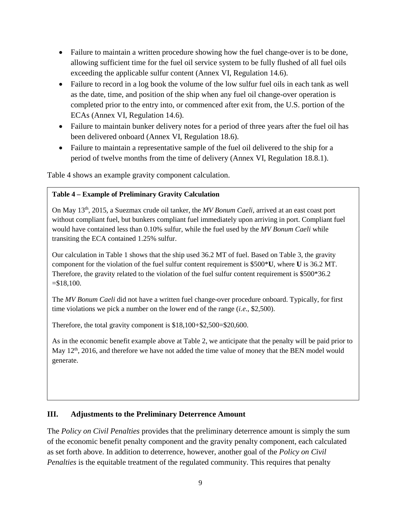- Failure to maintain a written procedure showing how the fuel change-over is to be done, allowing sufficient time for the fuel oil service system to be fully flushed of all fuel oils exceeding the applicable sulfur content (Annex VI, Regulation 14.6).
- Failure to record in a log book the volume of the low sulfur fuel oils in each tank as well as the date, time, and position of the ship when any fuel oil change-over operation is completed prior to the entry into, or commenced after exit from, the U.S. portion of the ECAs (Annex VI, Regulation 14.6).
- Failure to maintain bunker delivery notes for a period of three years after the fuel oil has been delivered onboard (Annex VI, Regulation 18.6).
- Failure to maintain a representative sample of the fuel oil delivered to the ship for a period of twelve months from the time of delivery (Annex VI, Regulation 18.8.1).

Table 4 shows an example gravity component calculation.

#### **Table 4 – Example of Preliminary Gravity Calculation**

On May 13th, 2015, a Suezmax crude oil tanker, the *MV Bonum Caeli*, arrived at an east coast port without compliant fuel, but bunkers compliant fuel immediately upon arriving in port. Compliant fuel would have contained less than 0.10% sulfur, while the fuel used by the *MV Bonum Caeli* while transiting the ECA contained 1.25% sulfur.

Our calculation in Table 1 shows that the ship used 36.2 MT of fuel. Based on Table 3, the gravity component for the violation of the fuel sulfur content requirement is \$500\***U**, where **U** is 36.2 MT. Therefore, the gravity related to the violation of the fuel sulfur content requirement is \$500\*36.2  $= $18,100.$ 

The *MV Bonum Caeli* did not have a written fuel change-over procedure onboard. Typically, for first time violations we pick a number on the lower end of the range (*i.e*., \$2,500).

Therefore, the total gravity component is \$18,100+\$2,500=\$20,600.

As in the economic benefit example above at Table 2, we anticipate that the penalty will be paid prior to May 12<sup>th</sup>, 2016, and therefore we have not added the time value of money that the BEN model would generate.

#### **III. Adjustments to the Preliminary Deterrence Amount**

The *Policy on Civil Penalties* provides that the preliminary deterrence amount is simply the sum of the economic benefit penalty component and the gravity penalty component, each calculated as set forth above. In addition to deterrence, however, another goal of the *Policy on Civil Penalties* is the equitable treatment of the regulated community. This requires that penalty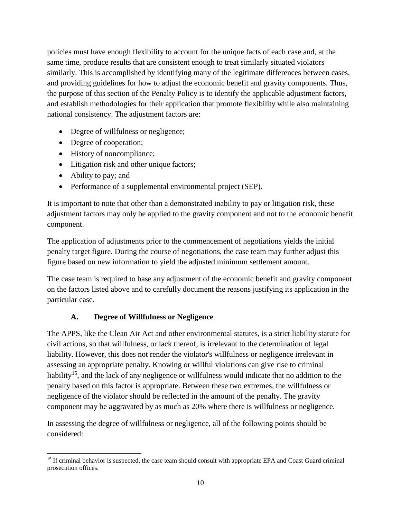policies must have enough flexibility to account for the unique facts of each case and, at the same time, produce results that are consistent enough to treat similarly situated violators similarly. This is accomplished by identifying many of the legitimate differences between cases, and providing guidelines for how to adjust the economic benefit and gravity components. Thus, the purpose of this section of the Penalty Policy is to identify the applicable adjustment factors, and establish methodologies for their application that promote flexibility while also maintaining national consistency. The adjustment factors are:

- Degree of willfulness or negligence;
- Degree of cooperation;
- History of noncompliance;
- Litigation risk and other unique factors;
- Ability to pay; and
- Performance of a supplemental environmental project (SEP).

It is important to note that other than a demonstrated inability to pay or litigation risk, these adjustment factors may only be applied to the gravity component and not to the economic benefit component.

The application of adjustments prior to the commencement of negotiations yields the initial penalty target figure. During the course of negotiations, the case team may further adjust this figure based on new information to yield the adjusted minimum settlement amount.

The case team is required to base any adjustment of the economic benefit and gravity component on the factors listed above and to carefully document the reasons justifying its application in the particular case.

## **A. Degree of Willfulness or Negligence**

The APPS, like the Clean Air Act and other environmental statutes, is a strict liability statute for civil actions, so that willfulness, or lack thereof, is irrelevant to the determination of legal liability. However, this does not render the violator's willfulness or negligence irrelevant in assessing an appropriate penalty. Knowing or willful violations can give rise to criminal liability<sup>15</sup>, and the lack of any negligence or willfulness would indicate that no addition to the penalty based on this factor is appropriate. Between these two extremes, the willfulness or negligence of the violator should be reflected in the amount of the penalty. The gravity component may be aggravated by as much as 20% where there is willfulness or negligence.

In assessing the degree of willfulness or negligence, all of the following points should be considered:

<span id="page-10-0"></span><sup>&</sup>lt;sup>15</sup> If criminal behavior is suspected, the case team should consult with appropriate EPA and Coast Guard criminal prosecution offices.  $\overline{a}$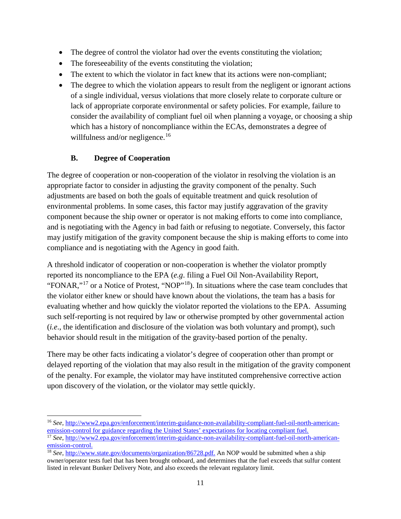- The degree of control the violator had over the events constituting the violation;
- The foreseeability of the events constituting the violation;
- The extent to which the violator in fact knew that its actions were non-compliant;
- The degree to which the violation appears to result from the negligent or ignorant actions of a single individual, versus violations that more closely relate to corporate culture or lack of appropriate corporate environmental or safety policies. For example, failure to consider the availability of compliant fuel oil when planning a voyage, or choosing a ship which has a history of noncompliance within the ECAs, demonstrates a degree of willfulness and/or negligence.<sup>[16](#page-11-0)</sup>

## **B. Degree of Cooperation**

The degree of cooperation or non-cooperation of the violator in resolving the violation is an appropriate factor to consider in adjusting the gravity component of the penalty. Such adjustments are based on both the goals of equitable treatment and quick resolution of environmental problems. In some cases, this factor may justify aggravation of the gravity component because the ship owner or operator is not making efforts to come into compliance, and is negotiating with the Agency in bad faith or refusing to negotiate. Conversely, this factor may justify mitigation of the gravity component because the ship is making efforts to come into compliance and is negotiating with the Agency in good faith.

A threshold indicator of cooperation or non-cooperation is whether the violator promptly reported its noncompliance to the EPA (*e.g*. filing a Fuel Oil Non-Availability Report, "FONAR,"[17](#page-11-1) or a Notice of Protest, "NOP"[18\)](#page-11-2). In situations where the case team concludes that the violator either knew or should have known about the violations, the team has a basis for evaluating whether and how quickly the violator reported the violations to the EPA. Assuming such self-reporting is not required by law or otherwise prompted by other governmental action (*i.e*., the identification and disclosure of the violation was both voluntary and prompt), such behavior should result in the mitigation of the gravity-based portion of the penalty.

There may be other facts indicating a violator's degree of cooperation other than prompt or delayed reporting of the violation that may also result in the mitigation of the gravity component of the penalty. For example, the violator may have instituted comprehensive corrective action upon discovery of the violation, or the violator may settle quickly.

<span id="page-11-0"></span><sup>16</sup> *See,* [http://www2.epa.gov/enforcement/interim-guidance-non-availability-compliant-fuel-oil-north-american](http://www2.epa.gov/enforcement/interim-guidance-non-availability-compliant-fuel-oil-north-american-emission-control)[emission-control](http://www2.epa.gov/enforcement/interim-guidance-non-availability-compliant-fuel-oil-north-american-emission-control) for guidance regarding the United States' expectations for locating compliant fuel. <sup>17</sup> *See*, [http://www2.epa.gov/enforcement/interim-guidance-non-availability-compliant-fuel-oil-north-american-](http://www2.epa.gov/enforcement/interim-guidance-non-availability-compliant-fuel-oil-north-american-emission-control) $\overline{a}$ 

<span id="page-11-1"></span>[emission-control.](http://www2.epa.gov/enforcement/interim-guidance-non-availability-compliant-fuel-oil-north-american-emission-control)

<span id="page-11-2"></span><sup>18</sup> *See,* [http://www.state.gov/documents/organization/86728.pdf.](http://www.state.gov/documents/organization/86728.pdf) An NOP would be submitted when a ship owner/operator tests fuel that has been brought onboard, and determines that the fuel exceeds that sulfur content listed in relevant Bunker Delivery Note, and also exceeds the relevant regulatory limit.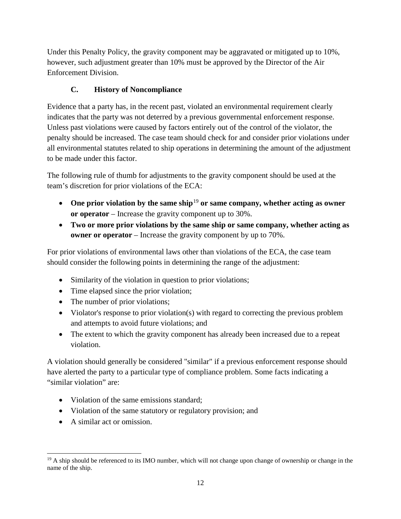Under this Penalty Policy, the gravity component may be aggravated or mitigated up to 10%, however, such adjustment greater than 10% must be approved by the Director of the Air Enforcement Division.

## **C. History of Noncompliance**

Evidence that a party has, in the recent past, violated an environmental requirement clearly indicates that the party was not deterred by a previous governmental enforcement response. Unless past violations were caused by factors entirely out of the control of the violator, the penalty should be increased. The case team should check for and consider prior violations under all environmental statutes related to ship operations in determining the amount of the adjustment to be made under this factor.

The following rule of thumb for adjustments to the gravity component should be used at the team's discretion for prior violations of the ECA:

- One prior violation by the same ship<sup>[19](#page-12-0)</sup> or same company, whether acting as owner **or operator** – Increase the gravity component up to 30%.
- **Two or more prior violations by the same ship or same company, whether acting as owner or operator** – Increase the gravity component by up to 70%.

For prior violations of environmental laws other than violations of the ECA, the case team should consider the following points in determining the range of the adjustment:

- Similarity of the violation in question to prior violations;
- Time elapsed since the prior violation;
- The number of prior violations;
- Violator's response to prior violation(s) with regard to correcting the previous problem and attempts to avoid future violations; and
- The extent to which the gravity component has already been increased due to a repeat violation.

A violation should generally be considered "similar" if a previous enforcement response should have alerted the party to a particular type of compliance problem. Some facts indicating a "similar violation" are:

- Violation of the same emissions standard;
- Violation of the same statutory or regulatory provision; and
- A similar act or omission.

<span id="page-12-0"></span> $19$  A ship should be referenced to its IMO number, which will not change upon change of ownership or change in the name of the ship.  $\overline{a}$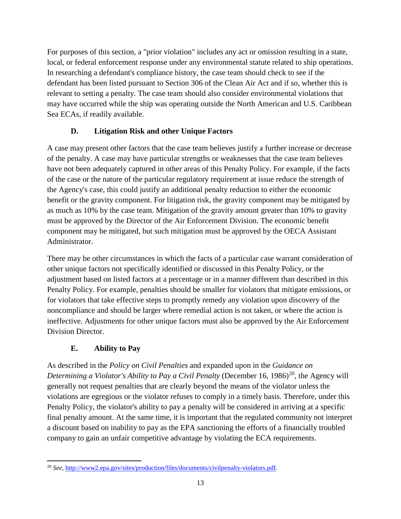For purposes of this section, a "prior violation" includes any act or omission resulting in a state, local, or federal enforcement response under any environmental statute related to ship operations. In researching a defendant's compliance history, the case team should check to see if the defendant has been listed pursuant to Section 306 of the Clean Air Act and if so, whether this is relevant to setting a penalty. The case team should also consider environmental violations that may have occurred while the ship was operating outside the North American and U.S. Caribbean Sea ECAs, if readily available.

## **D. Litigation Risk and other Unique Factors**

A case may present other factors that the case team believes justify a further increase or decrease of the penalty. A case may have particular strengths or weaknesses that the case team believes have not been adequately captured in other areas of this Penalty Policy. For example, if the facts of the case or the nature of the particular regulatory requirement at issue reduce the strength of the Agency's case, this could justify an additional penalty reduction to either the economic benefit or the gravity component. For litigation risk, the gravity component may be mitigated by as much as 10% by the case team. Mitigation of the gravity amount greater than 10% to gravity must be approved by the Director of the Air Enforcement Division. The economic benefit component may be mitigated, but such mitigation must be approved by the OECA Assistant Administrator.

There may be other circumstances in which the facts of a particular case warrant consideration of other unique factors not specifically identified or discussed in this Penalty Policy, or the adjustment based on listed factors at a percentage or in a manner different than described in this Penalty Policy. For example, penalties should be smaller for violators that mitigate emissions, or for violators that take effective steps to promptly remedy any violation upon discovery of the noncompliance and should be larger where remedial action is not taken, or where the action is ineffective. Adjustments for other unique factors must also be approved by the Air Enforcement Division Director.

## **E. Ability to Pay**

As described in the *Policy on Civil Penalties* and expanded upon in the *Guidance on Determining a Violator's Ability to Pay a Civil Penalty* (December 16, 1986)<sup>20</sup>, the Agency will generally not request penalties that are clearly beyond the means of the violator unless the violations are egregious or the violator refuses to comply in a timely basis. Therefore, under this Penalty Policy, the violator's ability to pay a penalty will be considered in arriving at a specific final penalty amount. At the same time, it is important that the regulated community not interpret a discount based on inability to pay as the EPA sanctioning the efforts of a financially troubled company to gain an unfair competitive advantage by violating the ECA requirements.

<span id="page-13-0"></span><sup>20</sup> *See,* [http://www2.epa.gov/sites/production/files/documents/civilpenalty-violators.pdf.](http://www2.epa.gov/sites/production/files/documents/civilpenalty-violators.pdf)  $\overline{a}$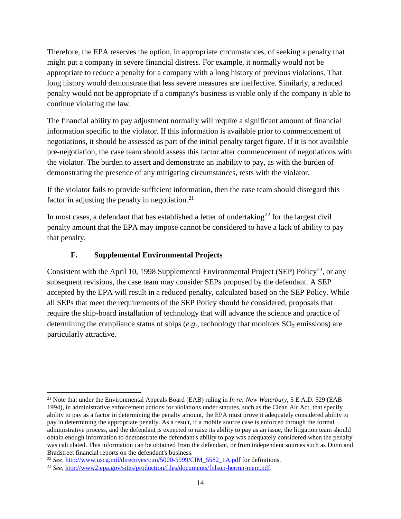Therefore, the EPA reserves the option, in appropriate circumstances, of seeking a penalty that might put a company in severe financial distress. For example, it normally would not be appropriate to reduce a penalty for a company with a long history of previous violations. That long history would demonstrate that less severe measures are ineffective. Similarly, a reduced penalty would not be appropriate if a company's business is viable only if the company is able to continue violating the law.

The financial ability to pay adjustment normally will require a significant amount of financial information specific to the violator. If this information is available prior to commencement of negotiations, it should be assessed as part of the initial penalty target figure. If it is not available pre-negotiation, the case team should assess this factor after commencement of negotiations with the violator. The burden to assert and demonstrate an inability to pay, as with the burden of demonstrating the presence of any mitigating circumstances, rests with the violator.

If the violator fails to provide sufficient information, then the case team should disregard this factor in adjusting the penalty in negotiation. $21$ 

In most cases, a defendant that has established a letter of undertaking<sup>[22](#page-14-1)</sup> for the largest civil penalty amount that the EPA may impose cannot be considered to have a lack of ability to pay that penalty.

## **F. Supplemental Environmental Projects**

Consistent with the April 10, 1998 Supplemental Environmental Project (SEP) Policy<sup>[23](#page-14-2)</sup>, or any subsequent revisions, the case team may consider SEPs proposed by the defendant. A SEP accepted by the EPA will result in a reduced penalty, calculated based on the SEP Policy. While all SEPs that meet the requirements of the SEP Policy should be considered, proposals that require the ship-board installation of technology that will advance the science and practice of determining the compliance status of ships (*e.g*., technology that monitors SO₂ emissions) are particularly attractive.

<span id="page-14-0"></span><sup>21</sup> Note that under the Environmental Appeals Board (EAB) ruling in *In re: New Waterbury*, 5 E.A.D. 529 (EAB 1994), in administrative enforcement actions for violations under statutes, such as the Clean Air Act, that specify ability to pay as a factor in determining the penalty amount, the EPA must prove it adequately considered ability to pay in determining the appropriate penalty. As a result, if a mobile source case is enforced through the formal administrative process, and the defendant is expected to raise its ability to pay as an issue, the litigation team should obtain enough information to demonstrate the defendant's ability to pay was adequately considered when the penalty was calculated. This information can be obtained from the defendant, or from independent sources such as Dunn and Bradstreet financial reports on the defendant's business.  $\overline{a}$ 

<span id="page-14-1"></span><sup>22</sup> *See,* [http://www.uscg.mil/directives/cim/5000-5999/CIM\\_5582\\_1A.pdf](http://www.uscg.mil/directives/cim/5000-5999/CIM_5582_1A.pdf) for definitions.

<span id="page-14-2"></span><sup>23</sup> *See,* [http://www2.epa.gov/sites/production/files/documents/fnlsup-hermn-mem.pdf.](http://www2.epa.gov/sites/production/files/documents/fnlsup-hermn-mem.pdf)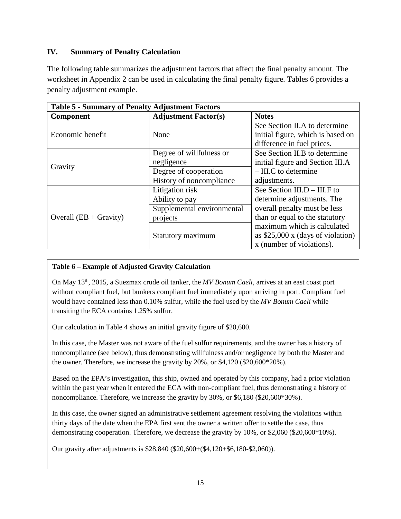### **IV. Summary of Penalty Calculation**

The following table summarizes the adjustment factors that affect the final penalty amount. The worksheet in Appendix 2 can be used in calculating the final penalty figure. Tables 6 provides a penalty adjustment example.

| <b>Table 5 - Summary of Penalty Adjustment Factors</b> |                             |                                                 |  |  |  |  |  |  |
|--------------------------------------------------------|-----------------------------|-------------------------------------------------|--|--|--|--|--|--|
| Component                                              | <b>Adjustment Factor(s)</b> | <b>Notes</b>                                    |  |  |  |  |  |  |
|                                                        |                             | See Section II.A to determine                   |  |  |  |  |  |  |
| Economic benefit                                       | None                        | initial figure, which is based on               |  |  |  |  |  |  |
|                                                        |                             | difference in fuel prices.                      |  |  |  |  |  |  |
|                                                        | Degree of willfulness or    | See Section II.B to determine                   |  |  |  |  |  |  |
| Gravity                                                | negligence                  | initial figure and Section III.A                |  |  |  |  |  |  |
|                                                        | Degree of cooperation       | $-$ III.C to determine                          |  |  |  |  |  |  |
|                                                        | History of noncompliance    | adjustments.                                    |  |  |  |  |  |  |
|                                                        | Litigation risk             | See Section III.D – III.F to                    |  |  |  |  |  |  |
|                                                        | Ability to pay              | determine adjustments. The                      |  |  |  |  |  |  |
|                                                        | Supplemental environmental  | overall penalty must be less                    |  |  |  |  |  |  |
| Overall $(EB + Gravity)$                               | projects                    | than or equal to the statutory                  |  |  |  |  |  |  |
|                                                        |                             | maximum which is calculated                     |  |  |  |  |  |  |
|                                                        | Statutory maximum           | as $$25,000 \times (days \text{ of violation})$ |  |  |  |  |  |  |
|                                                        |                             | x (number of violations).                       |  |  |  |  |  |  |

#### **Table 6 – Example of Adjusted Gravity Calculation**

On May 13th, 2015, a Suezmax crude oil tanker, the *MV Bonum Caeli*, arrives at an east coast port without compliant fuel, but bunkers compliant fuel immediately upon arriving in port. Compliant fuel would have contained less than 0.10% sulfur, while the fuel used by the *MV Bonum Caeli* while transiting the ECA contains 1.25% sulfur.

Our calculation in Table 4 shows an initial gravity figure of \$20,600.

In this case, the Master was not aware of the fuel sulfur requirements, and the owner has a history of noncompliance (see below), thus demonstrating willfulness and/or negligence by both the Master and the owner. Therefore, we increase the gravity by 20%, or \$4,120 (\$20,600\*20%).

Based on the EPA's investigation, this ship, owned and operated by this company, had a prior violation within the past year when it entered the ECA with non-compliant fuel, thus demonstrating a history of noncompliance. Therefore, we increase the gravity by 30%, or \$6,180 (\$20,600\*30%).

In this case, the owner signed an administrative settlement agreement resolving the violations within thirty days of the date when the EPA first sent the owner a written offer to settle the case, thus demonstrating cooperation. Therefore, we decrease the gravity by 10%, or \$2,060 (\$20,600\*10%).

Our gravity after adjustments is \$28,840 (\$20,600+(\$4,120+\$6,180-\$2,060)).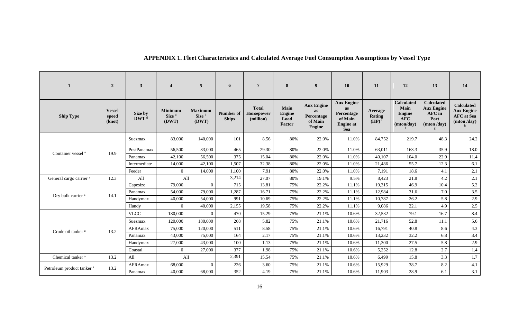| 1                                     | $\overline{2}$                   | $\mathbf{3}$                | $\overline{4}$                        | $\overline{5}$                               | 6                         | $7\phantom{.0}$                         | 8                                       | 9                                                                 | 10                                                                                        | 11                                              | 12                                                                     | 13                                                                     | 14                                                                        |
|---------------------------------------|----------------------------------|-----------------------------|---------------------------------------|----------------------------------------------|---------------------------|-----------------------------------------|-----------------------------------------|-------------------------------------------------------------------|-------------------------------------------------------------------------------------------|-------------------------------------------------|------------------------------------------------------------------------|------------------------------------------------------------------------|---------------------------------------------------------------------------|
| <b>Ship Type</b>                      | <b>Vessel</b><br>speed<br>(knot) | Size by<br>DWT <sup>d</sup> | Minimum<br>Size <sup>d</sup><br>(DWT) | <b>Maximum</b><br>Size <sup>d</sup><br>(DWT) | Number of<br><b>Ships</b> | <b>Total</b><br>Horsepower<br>(million) | Main<br><b>Engine</b><br>Load<br>Factor | <b>Aux Engine</b><br><b>as</b><br>Percentage<br>of Main<br>Engine | <b>Aux Engine</b><br><b>as</b><br>Percentage<br>of Main<br><b>Engine</b> at<br><b>Sea</b> | Average<br><b>Rating</b><br>$(HP)$ <sup>e</sup> | <b>Calculated</b><br>Main<br><b>Engine</b><br><b>AFC</b><br>(mton/day) | <b>Calculated</b><br><b>Aux Engine</b><br>AFC in<br>Port<br>(mton/day) | <b>Calculated</b><br><b>Aux Engine</b><br><b>AFC</b> at Sea<br>(mton/day) |
|                                       |                                  | Suezmax                     | 83,000                                | 140,000                                      | 101                       | 8.56                                    | 80%                                     | 22.0%                                                             | 11.0%                                                                                     | 84,752                                          | 219.7                                                                  | 48.3                                                                   | 24.2                                                                      |
|                                       |                                  | PostPanamax                 | 56,500                                | 83,000                                       | 465                       | 29.30                                   | 80%                                     | 22.0%                                                             | 11.0%                                                                                     | 63,011                                          | 163.3                                                                  | 35.9                                                                   | 18.0                                                                      |
| Container vessel <sup>a</sup>         | 19.9                             | Panamax                     | 42,100                                | 56,500                                       | 375                       | 15.04                                   | 80%                                     | 22.0%                                                             | 11.0%                                                                                     | 40,107                                          | 104.0                                                                  | 22.9                                                                   | 11.4                                                                      |
|                                       |                                  | Intermediate                | 14,000                                | 42,100                                       | 1,507                     | 32.38                                   | 80%                                     | 22.0%                                                             | 11.0%                                                                                     | 21,486                                          | 55.7                                                                   | 12.3                                                                   | 6.1                                                                       |
|                                       |                                  | Feeder                      | $\overline{0}$                        | 14,000                                       | 1,100                     | 7.91                                    | 80%                                     | 22.0%                                                             | 11.0%                                                                                     | 7,191                                           | 18.6                                                                   | 4.1                                                                    | 2.1                                                                       |
| General cargo carrier <sup>a</sup>    | 12.3                             | All                         | All                                   |                                              | 3,214                     | 27.07                                   | 80%                                     | 19.1%                                                             | 9.5%                                                                                      | 8,423                                           | 21.8                                                                   | 4.2                                                                    | 2.1                                                                       |
|                                       | 14.1                             | Capesize                    | 79,000                                | $\overline{0}$                               | 715                       | 13.81                                   | 75%                                     | 22.2%                                                             | 11.1%                                                                                     | 19,315                                          | 46.9                                                                   | 10.4                                                                   | 5.2                                                                       |
| Dry bulk carrier <sup>a</sup>         |                                  | Panamax                     | 54,000                                | 79,000                                       | 1,287                     | 16.71                                   | 75%                                     | 22.2%                                                             | 11.1%                                                                                     | 12,984                                          | 31.6                                                                   | 7.0                                                                    | $3.5$                                                                     |
|                                       |                                  | Handymax                    | 40,000                                | 54,000                                       | 991                       | 10.69                                   | 75%                                     | 22.2%                                                             | 11.1%                                                                                     | 10,787                                          | 26.2                                                                   | 5.8                                                                    | 2.9                                                                       |
|                                       |                                  | Handy                       | $\overline{0}$                        | 40,000                                       | 2,155                     | 19.58                                   | 75%                                     | 22.2%                                                             | 11.1%                                                                                     | 9,086                                           | 22.1                                                                   | 4.9                                                                    | $2.5\,$                                                                   |
|                                       | 13.2                             | <b>VLCC</b>                 | 180,000                               | $\overline{0}$                               | 470                       | 15.29                                   | 75%                                     | 21.1%                                                             | 10.6%                                                                                     | 32,532                                          | 79.1                                                                   | 16.7                                                                   | 8.4                                                                       |
|                                       |                                  | Suezmax                     | 120,000                               | 180,000                                      | 268                       | 5.82                                    | 75%                                     | 21.1%                                                             | 10.6%                                                                                     | 21,716                                          | 52.8                                                                   | 11.1                                                                   | 5.6                                                                       |
| Crude oil tanker <sup>a</sup>         |                                  | AFRAmax                     | 75,000                                | 120,000                                      | 511                       | 8.58                                    | 75%                                     | 21.1%                                                             | 10.6%                                                                                     | 16,791                                          | 40.8                                                                   | 8.6                                                                    | 4.3                                                                       |
|                                       |                                  | Panamax                     | 43,000                                | 75,000                                       | 164                       | 2.17                                    | 75%                                     | 21.1%                                                             | 10.6%                                                                                     | 13,232                                          | 32.2                                                                   | 6.8                                                                    | 3.4                                                                       |
|                                       |                                  | Handymax                    | 27,000                                | 43,000                                       | 100                       | 1.13                                    | 75%                                     | 21.1%                                                             | 10.6%                                                                                     | 11,300                                          | 27.5                                                                   | 5.8                                                                    | 2.9                                                                       |
|                                       |                                  | Coastal                     | $\overline{0}$                        | 27,000                                       | 377                       | 1.98                                    | 75%                                     | 21.1%                                                             | 10.6%                                                                                     | 5,252                                           | 12.8                                                                   | 2.7                                                                    | 1.4                                                                       |
| Chemical tanker <sup>a</sup>          | 13.2                             | All                         | All                                   |                                              | 2,391                     | 15.54                                   | 75%                                     | 21.1%                                                             | 10.6%                                                                                     | 6,499                                           | 15.8                                                                   | 3.3                                                                    | 1.7                                                                       |
|                                       | 13.2                             | AFRAmax                     | 68,000                                | $\theta$                                     | 226                       | 3.60                                    | 75%                                     | 21.1%                                                             | 10.6%                                                                                     | 15,929                                          | 38.7                                                                   | 8.2                                                                    | 4.1                                                                       |
| Petroleum product tanker <sup>a</sup> |                                  | Panamax                     | 40,000                                | 68,000                                       | 352                       | 4.19                                    | 75%                                     | 21.1%                                                             | 10.6%                                                                                     | 11,903                                          | 28.9                                                                   | 6.1                                                                    | 3.1                                                                       |

# **APPENDIX 1. Fleet Characteristics and Calculated Average Fuel Consumption Assumptions by Vessel Type**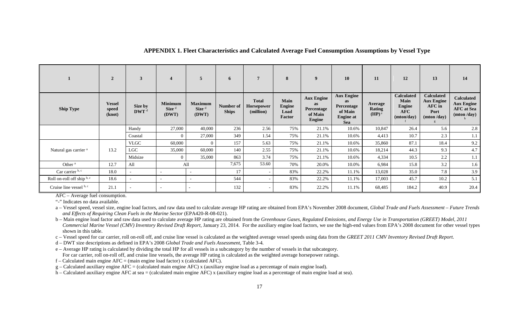|                                  | $\overline{2}$                   | $\mathbf{3}$                    | 4                                            | 5                                            | 6                         | 7                                       | 8                                              | 9                                                                        | 10                                                                                        | 11                                       | 12                                                                            | 13                                                                     | 14                                                                        |
|----------------------------------|----------------------------------|---------------------------------|----------------------------------------------|----------------------------------------------|---------------------------|-----------------------------------------|------------------------------------------------|--------------------------------------------------------------------------|-------------------------------------------------------------------------------------------|------------------------------------------|-------------------------------------------------------------------------------|------------------------------------------------------------------------|---------------------------------------------------------------------------|
| <b>Ship Type</b>                 | <b>Vessel</b><br>speed<br>(knot) | Size by<br>$\mathbf{DWT}^{\ d}$ | <b>Minimum</b><br>Size <sup>d</sup><br>(DWT) | <b>Maximum</b><br>Size <sup>d</sup><br>(DWT) | Number of<br><b>Ships</b> | <b>Total</b><br>Horsepower<br>(million) | Main<br><b>Engine</b><br>Load<br><b>Factor</b> | <b>Aux Engine</b><br><b>as</b><br>Percentage<br>of Main<br><b>Engine</b> | <b>Aux Engine</b><br>as<br><b>Percentage</b><br>of Main<br><b>Engine</b> at<br><b>Sea</b> | Average<br>Rating<br>$(HP)$ <sup>e</sup> | <b>Calculated</b><br><b>Main</b><br><b>Engine</b><br><b>AFC</b><br>(mton/day) | <b>Calculated</b><br><b>Aux Engine</b><br>AFC in<br>Port<br>(mton/day) | <b>Calculated</b><br><b>Aux Engine</b><br><b>AFC</b> at Sea<br>(mton/day) |
|                                  |                                  | Handy                           | 27,000                                       | 40,000                                       | 236                       | 2.56                                    | 75%                                            | 21.1%                                                                    | 10.6%                                                                                     | 10,847                                   | 26.4                                                                          | 5.6                                                                    | 2.8                                                                       |
|                                  |                                  | Coastal                         | $\overline{0}$                               | 27,000                                       | 349                       | 1.54                                    | 75%                                            | 21.1%                                                                    | 10.6%                                                                                     | 4,413                                    | 10.7                                                                          | 2.3                                                                    | 1.1                                                                       |
|                                  |                                  | <b>VLGC</b>                     | 60,000                                       | $\Omega$                                     | 157                       | 5.63                                    | 75%                                            | 21.1%                                                                    | 10.6%                                                                                     | 35,860                                   | 87.1                                                                          | 18.4                                                                   | 9.2                                                                       |
| Natural gas carrier <sup>a</sup> | 13.2                             | LGC                             | 35,000                                       | 60,000                                       | 140                       | 2.55                                    | 75%                                            | 21.1%                                                                    | 10.6%                                                                                     | 18,214                                   | 44.3                                                                          | 9.3                                                                    | 4.7                                                                       |
|                                  |                                  | Midsize                         | $\Omega$                                     | 35,000                                       | 863                       | 3.74                                    | 75%                                            | 21.1%                                                                    | 10.6%                                                                                     | 4,334                                    | 10.5                                                                          | 2.2                                                                    | 1.1                                                                       |
| Other $a$                        | 12.7                             | All                             | All                                          |                                              | 7,675                     | 53.60                                   | 70%                                            | 20.0%                                                                    | 10.0%                                                                                     | 6,984                                    | 15.8                                                                          | 3.2                                                                    | 1.6                                                                       |
| Car carrier b, c                 | 18.0                             | $\overline{\phantom{0}}$        | $\overline{\phantom{a}}$                     | $\overline{\phantom{a}}$                     | 17                        |                                         | 83%                                            | 22.2%                                                                    | 11.1%                                                                                     | 13,028                                   | 35.0                                                                          | 7.8                                                                    | 3.9                                                                       |
| Roll on-roll off ship b, c       | 18.6                             | $\overline{\phantom{0}}$        | $\overline{\phantom{a}}$                     | $\overline{\phantom{a}}$                     | 544                       |                                         | 83%                                            | 22.2%                                                                    | 11.1%                                                                                     | 17,003                                   | 45.7                                                                          | 10.2                                                                   | 5.1                                                                       |
| Cruise line vessel b, c          | 21.1                             |                                 | $\overline{a}$                               |                                              | 132                       |                                         | 83%                                            | 22.2%                                                                    | 11.1%                                                                                     | 68,485                                   | 184.2                                                                         | 40.9                                                                   | 20.4                                                                      |

#### **APPENDIX 1. Fleet Characteristics and Calculated Average Fuel Consumption Assumptions by Vessel Type**

AFC – Average fuel consumption.

"-" Indicates no data available.

a – Vessel speed, vessel size, engine load factors, and raw data used to calculate average HP rating are obtained from EPA's November 2008 document, *Global Trade and Fuels Assessment – Future Trends and Effects of Requiring Clean Fuels in the Marine Sector* (EPA420-R-08-021).

b – Main engine load factor and raw data used to calculate average HP rating are obtained from the *Greenhouse Gases, Regulated Emissions, and Energy Use in Transportation (GREET) Model, 2011 Commercial Marine Vessel (CMV) Inventory Revised Draft Report*, January 23, 2014. For the auxiliary engine load factors, we use the high-end values from EPA's 2008 document for other vessel types shown in this table.

c – Vessel speed for car carrier, roll on-roll off, and cruise line vessel is calculated as the weighted average vessel speeds using data from the *GREET 2011 CMV Inventory Revised Draft Report*.

d – DWT size descriptions as defined in EPA's 2008 *Global Trade and Fuels Assessment,* Table 3-4*.*

e – Average HP rating is calculated by dividing the total HP for all vessels in a subcategory by the number of vessels in that subcategory. For car carrier, roll on-roll off, and cruise line vessels, the average HP rating is calculated as the weighted average horsepower ratings.

 $f -$ Calculated main engine AFC = (main engine load factor) x (calculated AFC).

 $g$  – Calculated auxiliary engine AFC = (calculated main engine AFC) x (auxiliary engine load as a percentage of main engine load).

h – Calculated auxiliary engine AFC at sea = (calculated main engine AFC) x (auxiliary engine load as a percentage of main engine load at sea).